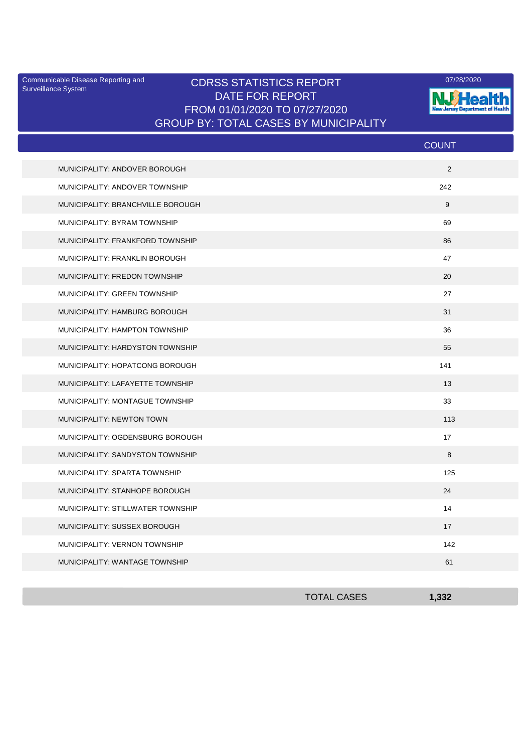Surveillance System

## Communicable Disease Reporting and **CDRSS STATISTICS REPORT** 2007/28/2020 DATE FOR REPORT FROM 01/01/2020 TO 07/27/2020 GROUP BY: TOTAL CASES BY MUNICIPALITY



|                                   | <b>COUNT</b> |
|-----------------------------------|--------------|
| MUNICIPALITY: ANDOVER BOROUGH     | 2            |
| MUNICIPALITY: ANDOVER TOWNSHIP    | 242          |
| MUNICIPALITY: BRANCHVILLE BOROUGH | 9            |
| MUNICIPALITY: BYRAM TOWNSHIP      | 69           |
| MUNICIPALITY: FRANKFORD TOWNSHIP  | 86           |
| MUNICIPALITY: FRANKLIN BOROUGH    | 47           |
| MUNICIPALITY: FREDON TOWNSHIP     | 20           |
| MUNICIPALITY: GREEN TOWNSHIP      | 27           |
| MUNICIPALITY: HAMBURG BOROUGH     | 31           |
| MUNICIPALITY: HAMPTON TOWNSHIP    | 36           |
| MUNICIPALITY: HARDYSTON TOWNSHIP  | 55           |
| MUNICIPALITY: HOPATCONG BOROUGH   | 141          |
| MUNICIPALITY: LAFAYETTE TOWNSHIP  | 13           |
| MUNICIPALITY: MONTAGUE TOWNSHIP   | 33           |
| MUNICIPALITY: NEWTON TOWN         | 113          |
| MUNICIPALITY: OGDENSBURG BOROUGH  | 17           |
| MUNICIPALITY: SANDYSTON TOWNSHIP  | 8            |
| MUNICIPALITY: SPARTA TOWNSHIP     | 125          |
| MUNICIPALITY: STANHOPE BOROUGH    | 24           |
| MUNICIPALITY: STILLWATER TOWNSHIP | 14           |
| MUNICIPALITY: SUSSEX BOROUGH      | 17           |
| MUNICIPALITY: VERNON TOWNSHIP     | 142          |
| MUNICIPALITY: WANTAGE TOWNSHIP    | 61           |

| <b>TOTAL CASES</b> | 1,332 |
|--------------------|-------|
|                    |       |